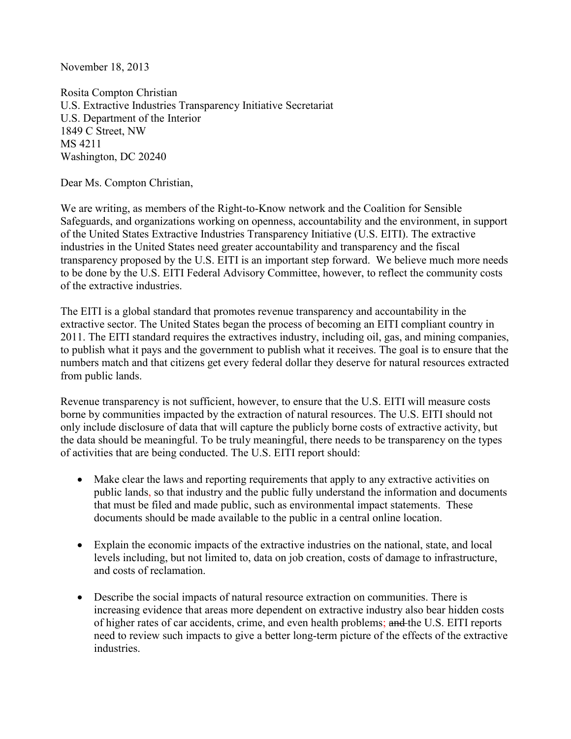November 18, 2013

Rosita Compton Christian U.S. Extractive Industries Transparency Initiative Secretariat U.S. Department of the Interior 1849 C Street, NW MS 4211 Washington, DC 20240

Dear Ms. Compton Christian,

We are writing, as members of the Right-to-Know network and the Coalition for Sensible Safeguards, and organizations working on openness, accountability and the environment, in support of the United States Extractive Industries Transparency Initiative (U.S. EITI). The extractive industries in the United States need greater accountability and transparency and the fiscal transparency proposed by the U.S. EITI is an important step forward. We believe much more needs to be done by the U.S. EITI Federal Advisory Committee, however, to reflect the community costs of the extractive industries.

The EITI is a global standard that promotes revenue transparency and accountability in the extractive sector. The United States began the process of becoming an EITI compliant country in 2011. The EITI standard requires the extractives industry, including oil, gas, and mining companies, to publish what it pays and the government to publish what it receives. The goal is to ensure that the numbers match and that citizens get every federal dollar they deserve for natural resources extracted from public lands.

Revenue transparency is not sufficient, however, to ensure that the U.S. EITI will measure costs borne by communities impacted by the extraction of natural resources. The U.S. EITI should not only include disclosure of data that will capture the publicly borne costs of extractive activity, but the data should be meaningful. To be truly meaningful, there needs to be transparency on the types of activities that are being conducted. The U.S. EITI report should:

- Make clear the laws and reporting requirements that apply to any extractive activities on public lands, so that industry and the public fully understand the information and documents that must be filed and made public, such as environmental impact statements. These documents should be made available to the public in a central online location.
- Explain the economic impacts of the extractive industries on the national, state, and local levels including, but not limited to, data on job creation, costs of damage to infrastructure, and costs of reclamation.
- Describe the social impacts of natural resource extraction on communities. There is increasing evidence that areas more dependent on extractive industry also bear hidden costs of higher rates of car accidents, crime, and even health problems; and the U.S. EITI reports need to review such impacts to give a better long-term picture of the effects of the extractive industries.